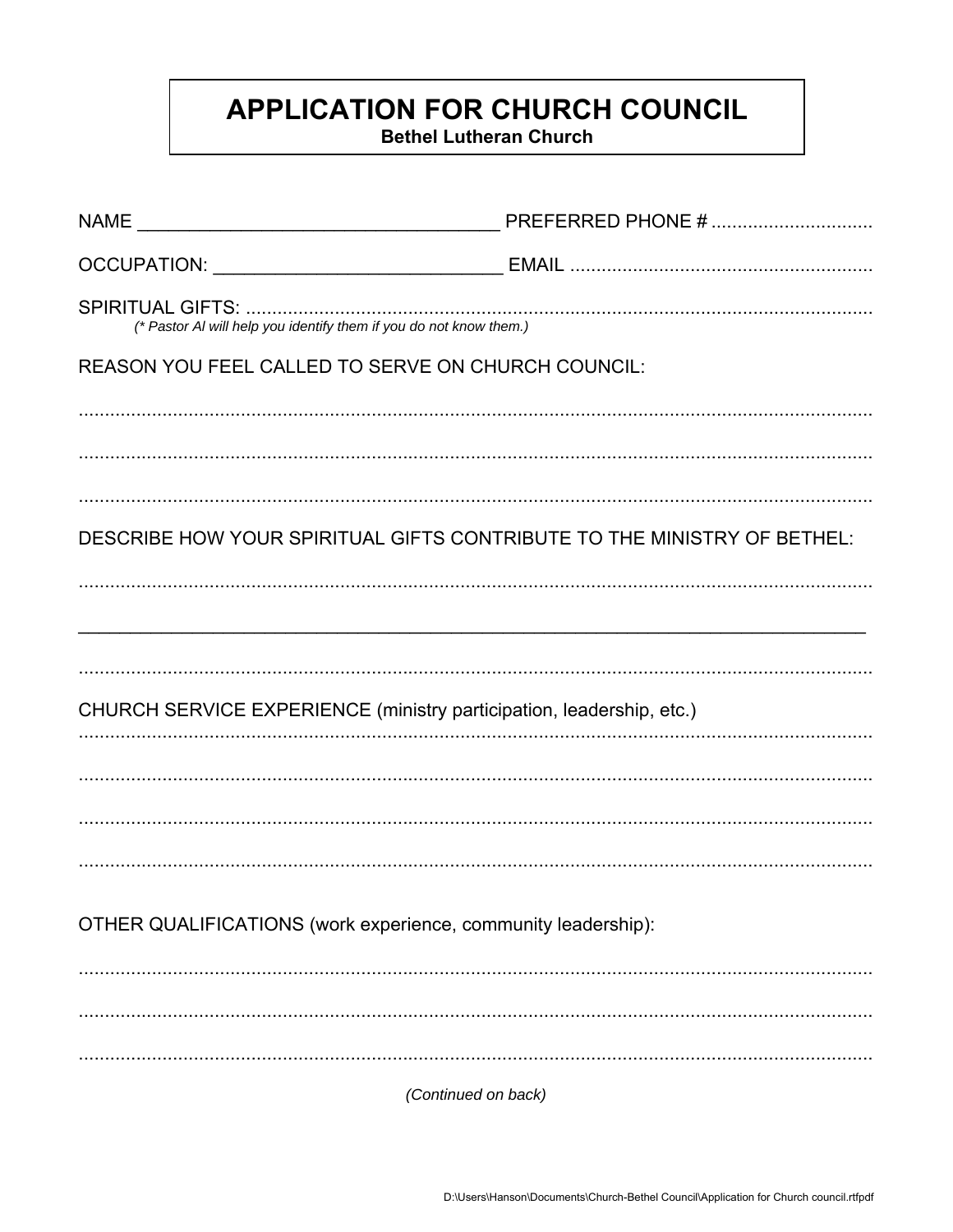## **APPLICATION FOR CHURCH COUNCIL**

**Bethel Lutheran Church** 

|                                                                         | PREFERRED PHONE # |
|-------------------------------------------------------------------------|-------------------|
|                                                                         |                   |
| (* Pastor AI will help you identify them if you do not know them.)      |                   |
| REASON YOU FEEL CALLED TO SERVE ON CHURCH COUNCIL:                      |                   |
|                                                                         |                   |
|                                                                         |                   |
|                                                                         |                   |
| DESCRIBE HOW YOUR SPIRITUAL GIFTS CONTRIBUTE TO THE MINISTRY OF BETHEL: |                   |
|                                                                         |                   |
|                                                                         |                   |
|                                                                         |                   |
| CHURCH SERVICE EXPERIENCE (ministry participation, leadership, etc.)    |                   |
|                                                                         |                   |
|                                                                         |                   |
|                                                                         |                   |
|                                                                         |                   |
| OTHER QUALIFICATIONS (work experience, community leadership):           |                   |
|                                                                         |                   |
|                                                                         |                   |
|                                                                         |                   |
| (Continued on back)                                                     |                   |